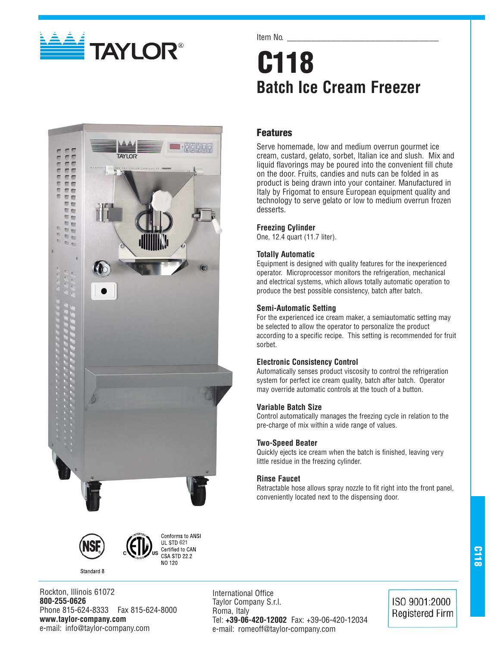

**TAYI OR** 

 $\blacksquare$ 

 $\pi$ 市市 市商 而而 而而 E 而而 智而 而前 帮配 前面 市西  $n_{\rm B}$ m<sub>m</sub>

#### Item No.

# **C118 Batch Ice Cream Freezer**

## **Features**

Serve homemade, low and medium overrun gourmet ice cream, custard, gelato, sorbet, Italian ice and slush. Mix and liquid flavorings may be poured into the convenient fill chute on the door. Fruits, candies and nuts can be folded in as product is being drawn into your container. Manufactured in Italy by Frigomat to ensure European equipment quality and technology to serve gelato or low to medium overrun frozen desserts.

#### **Freezing Cylinder**

One, 12.4 quart (11.7 liter).

#### **Totally Automatic**

Equipment is designed with quality features for the inexperienced operator. Microprocessor monitors the refrigeration, mechanical and electrical systems, which allows totally automatic operation to produce the best possible consistency, batch after batch.

#### **Semi-Automatic Setting**

For the experienced ice cream maker, a semiautomatic setting may be selected to allow the operator to personalize the product according to a specific recipe. This setting is recommended for fruit sorbet.

#### **Electronic Consistency Control**

Automatically senses product viscosity to control the refrigeration system for perfect ice cream quality, batch after batch. Operator may override automatic controls at the touch of a button.

#### **Variable Batch Size**

Control automatically manages the freezing cycle in relation to the pre-charge of mix within a wide range of values.

#### **Two-Speed Beater**

Quickly ejects ice cream when the batch is finished, leaving very little residue in the freezing cylinder.

#### **Rinse Faucet**

Retractable hose allows spray nozzle to fit right into the front panel, conveniently located next to the dispensing door.





Standard 8



International Office Taylor Company S.r.l. Roma, Italy Tel: **+39-06-420-12002** Fax: +39-06-420-12034 e-mail: romeoff@taylor-company.com

ISO 9001:2000 **Registered Firm**